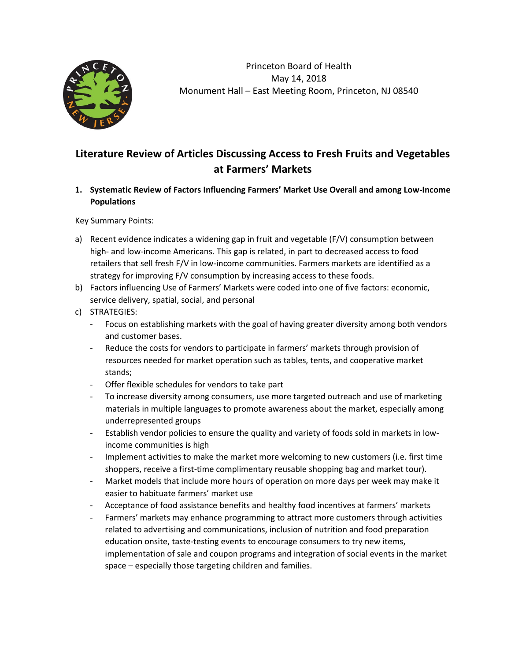

Princeton Board of Health May 14, 2018 Monument Hall – East Meeting Room, Princeton, NJ 08540

# **Literature Review of Articles Discussing Access to Fresh Fruits and Vegetables at Farmers' Markets**

# **1. Systematic Review of Factors Influencing Farmers' Market Use Overall and among Low-Income Populations**

Key Summary Points:

- a) Recent evidence indicates a widening gap in fruit and vegetable (F/V) consumption between high- and low-income Americans. This gap is related, in part to decreased access to food retailers that sell fresh F/V in low-income communities. Farmers markets are identified as a strategy for improving F/V consumption by increasing access to these foods.
- b) Factors influencing Use of Farmers' Markets were coded into one of five factors: economic, service delivery, spatial, social, and personal
- c) STRATEGIES:
	- Focus on establishing markets with the goal of having greater diversity among both vendors and customer bases.
	- Reduce the costs for vendors to participate in farmers' markets through provision of resources needed for market operation such as tables, tents, and cooperative market stands;
	- Offer flexible schedules for vendors to take part
	- To increase diversity among consumers, use more targeted outreach and use of marketing materials in multiple languages to promote awareness about the market, especially among underrepresented groups
	- Establish vendor policies to ensure the quality and variety of foods sold in markets in lowincome communities is high
	- Implement activities to make the market more welcoming to new customers (i.e. first time shoppers, receive a first-time complimentary reusable shopping bag and market tour).
	- Market models that include more hours of operation on more days per week may make it easier to habituate farmers' market use
	- Acceptance of food assistance benefits and healthy food incentives at farmers' markets
	- Farmers' markets may enhance programming to attract more customers through activities related to advertising and communications, inclusion of nutrition and food preparation education onsite, taste-testing events to encourage consumers to try new items, implementation of sale and coupon programs and integration of social events in the market space – especially those targeting children and families.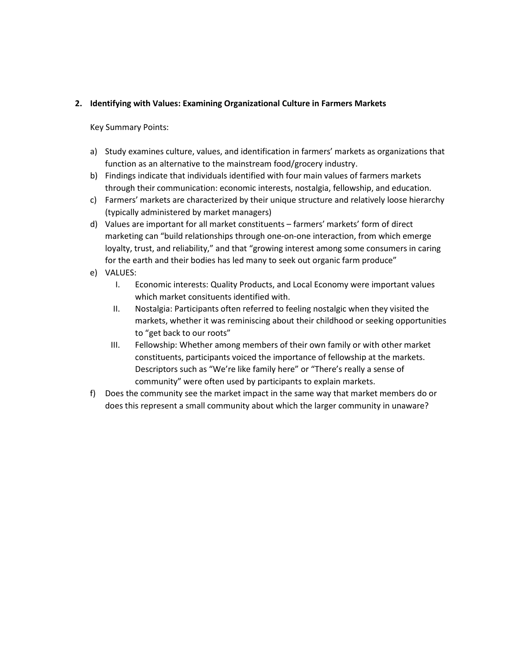## **2. Identifying with Values: Examining Organizational Culture in Farmers Markets**

Key Summary Points:

- a) Study examines culture, values, and identification in farmers' markets as organizations that function as an alternative to the mainstream food/grocery industry.
- b) Findings indicate that individuals identified with four main values of farmers markets through their communication: economic interests, nostalgia, fellowship, and education.
- c) Farmers' markets are characterized by their unique structure and relatively loose hierarchy (typically administered by market managers)
- d) Values are important for all market constituents farmers' markets' form of direct marketing can "build relationships through one-on-one interaction, from which emerge loyalty, trust, and reliability," and that "growing interest among some consumers in caring for the earth and their bodies has led many to seek out organic farm produce"
- e) VALUES:
	- I. Economic interests: Quality Products, and Local Economy were important values which market consituents identified with.
	- II. Nostalgia: Participants often referred to feeling nostalgic when they visited the markets, whether it was reminiscing about their childhood or seeking opportunities to "get back to our roots"
	- III. Fellowship: Whether among members of their own family or with other market constituents, participants voiced the importance of fellowship at the markets. Descriptors such as "We're like family here" or "There's really a sense of community" were often used by participants to explain markets.
- f) Does the community see the market impact in the same way that market members do or does this represent a small community about which the larger community in unaware?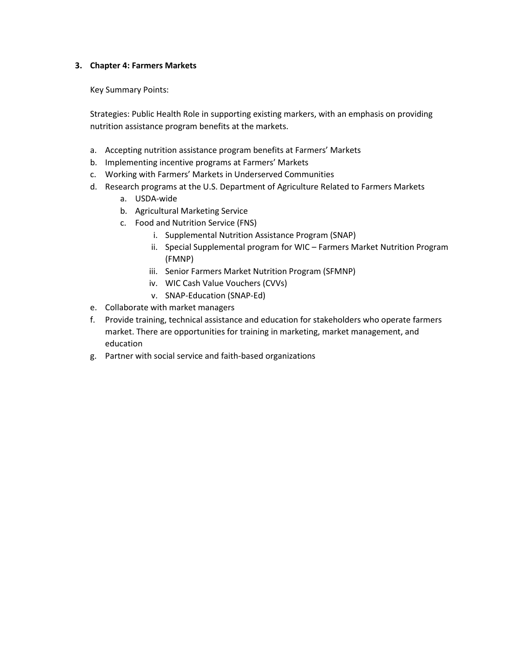#### **3. Chapter 4: Farmers Markets**

Key Summary Points:

Strategies: Public Health Role in supporting existing markers, with an emphasis on providing nutrition assistance program benefits at the markets.

- a. Accepting nutrition assistance program benefits at Farmers' Markets
- b. Implementing incentive programs at Farmers' Markets
- c. Working with Farmers' Markets in Underserved Communities
- d. Research programs at the U.S. Department of Agriculture Related to Farmers Markets
	- a. USDA-wide
	- b. Agricultural Marketing Service
	- c. Food and Nutrition Service (FNS)
		- i. Supplemental Nutrition Assistance Program (SNAP)
		- ii. Special Supplemental program for WIC Farmers Market Nutrition Program (FMNP)
		- iii. Senior Farmers Market Nutrition Program (SFMNP)
		- iv. WIC Cash Value Vouchers (CVVs)
		- v. SNAP-Education (SNAP-Ed)
- e. Collaborate with market managers
- f. Provide training, technical assistance and education for stakeholders who operate farmers market. There are opportunities for training in marketing, market management, and education
- g. Partner with social service and faith-based organizations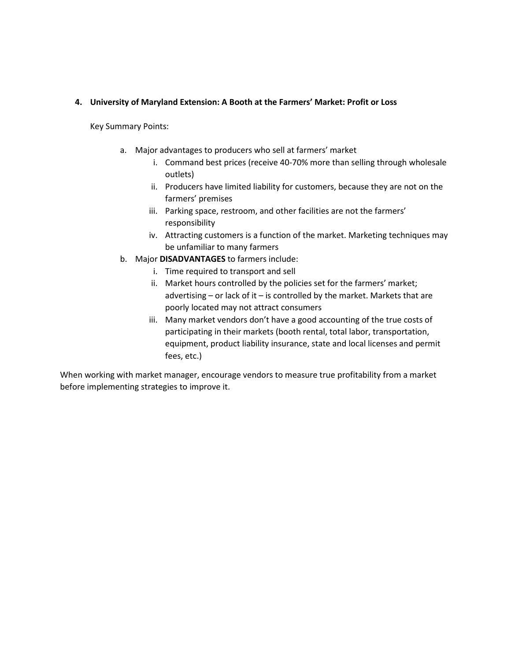#### **4. University of Maryland Extension: A Booth at the Farmers' Market: Profit or Loss**

Key Summary Points:

- a. Major advantages to producers who sell at farmers' market
	- i. Command best prices (receive 40-70% more than selling through wholesale outlets)
	- ii. Producers have limited liability for customers, because they are not on the farmers' premises
	- iii. Parking space, restroom, and other facilities are not the farmers' responsibility
	- iv. Attracting customers is a function of the market. Marketing techniques may be unfamiliar to many farmers
- b. Major **DISADVANTAGES** to farmers include:
	- i. Time required to transport and sell
	- ii. Market hours controlled by the policies set for the farmers' market; advertising – or lack of it – is controlled by the market. Markets that are poorly located may not attract consumers
	- iii. Many market vendors don't have a good accounting of the true costs of participating in their markets (booth rental, total labor, transportation, equipment, product liability insurance, state and local licenses and permit fees, etc.)

When working with market manager, encourage vendors to measure true profitability from a market before implementing strategies to improve it.